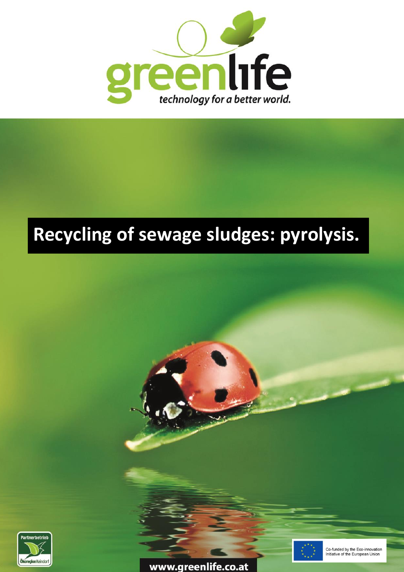

# **Recycling of sewage sludges: pyrolysis.**







Co-funded by the Eco-innovation Initiative of the European Union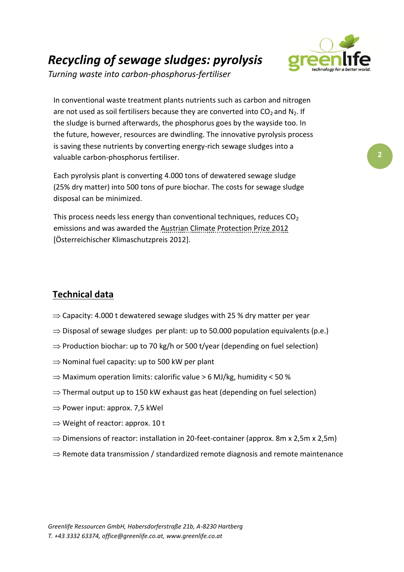## *Recycling of sewage sludges: pyrolysis*



*Turning waste into carbon-phosphorus-fertiliser*

In conventional waste treatment plants nutrients such as carbon and nitrogen are not used as soil fertilisers because they are converted into  $CO<sub>2</sub>$  and N<sub>2</sub>. If the sludge is burned afterwards, the phosphorus goes by the wayside too. In the future, however, resources are dwindling. The innovative pyrolysis process is saving these nutrients by converting energy-rich sewage sludges into a valuable carbon-phosphorus fertiliser.

Each pyrolysis plant is converting 4.000 tons of dewatered sewage sludge (25% dry matter) into 500 tons of pure biochar. The costs for sewage sludge disposal can be minimized.

This process needs less energy than conventional techniques, reduces  $CO<sub>2</sub>$ emissions and was awarded the Austrian Climate Protection Prize 2012 [Österreichischer Klimaschutzpreis 2012].

### **Technical data**

- $\Rightarrow$  Capacity: 4.000 t dewatered sewage sludges with 25 % dry matter per year
- $\Rightarrow$  Disposal of sewage sludges per plant: up to 50.000 population equivalents (p.e.)
- $\Rightarrow$  Production biochar: up to 70 kg/h or 500 t/year (depending on fuel selection)
- $\Rightarrow$  Nominal fuel capacity: up to 500 kW per plant
- $\Rightarrow$  Maximum operation limits: calorific value > 6 MJ/kg, humidity < 50 %
- $\Rightarrow$  Thermal output up to 150 kW exhaust gas heat (depending on fuel selection)
- $\Rightarrow$  Power input: approx. 7,5 kWel
- $\Rightarrow$  Weight of reactor: approx. 10 t
- $\Rightarrow$  Dimensions of reactor: installation in 20-feet-container (approx. 8m x 2,5m x 2,5m)
- $\Rightarrow$  Remote data transmission / standardized remote diagnosis and remote maintenance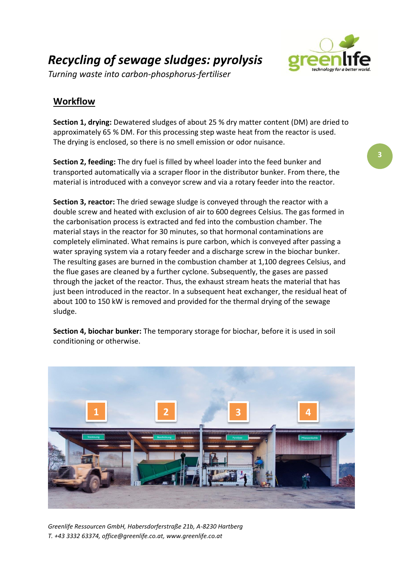*Recycling of sewage sludges: pyrolysis*



*Turning waste into carbon-phosphorus-fertiliser*

#### **Workflow**

**Section 1, drying:** Dewatered sludges of about 25 % dry matter content (DM) are dried to approximately 65 % DM. For this processing step waste heat from the reactor is used. The drying is enclosed, so there is no smell emission or [odor](http://www.dict.cc/englisch-deutsch/odor.html) [nuisance.](http://www.dict.cc/englisch-deutsch/nuisance.html)

**Section 2, feeding:** The dry fuel is filled by wheel loader into the feed bunker and transported automatically via a scraper floor in the distributor bunker. From there, the material is introduced with a conveyor screw and via a rotary feeder into the reactor.

**Section 3, reactor:** The dried sewage sludge is conveyed through the reactor with a double screw and heated with exclusion of air to 600 degrees Celsius. The gas formed in the carbonisation process is extracted and fed into the combustion chamber. The material stays in the reactor for 30 minutes, so that hormonal contaminations are completely eliminated. What remains is pure carbon, which is conveyed after passing a water spraying system via a rotary feeder and a discharge screw in the biochar bunker. The resulting gases are burned in the combustion chamber at 1,100 degrees Celsius, and the flue gases are cleaned by a further cyclone. Subsequently, the gases are passed through the jacket of the reactor. Thus, the exhaust stream heats the material that has just been introduced in the reactor. In a subsequent heat exchanger, the residual heat of about 100 to 150 kW is removed and provided for the thermal drying of the sewage sludge.

**Section 4, biochar bunker:** The temporary storage for biochar, before it is used in soil conditioning or otherwise.



*Greenlife Ressourcen GmbH, Habersdorferstraße 21b, A-8230 Hartberg T. +43 3332 63374, office@greenlife.co.at, www.greenlife.co.at*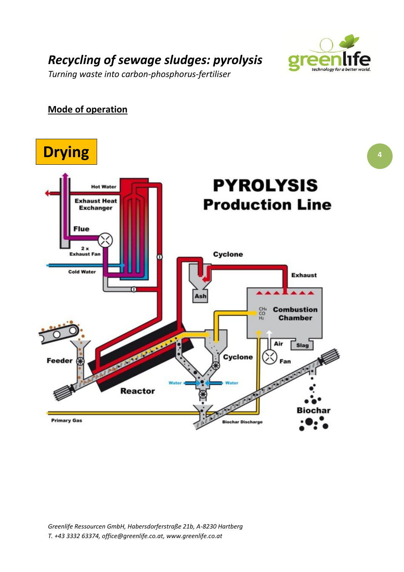

*Turning waste into carbon-phosphorus-fertiliser*

#### **Mode of operation**